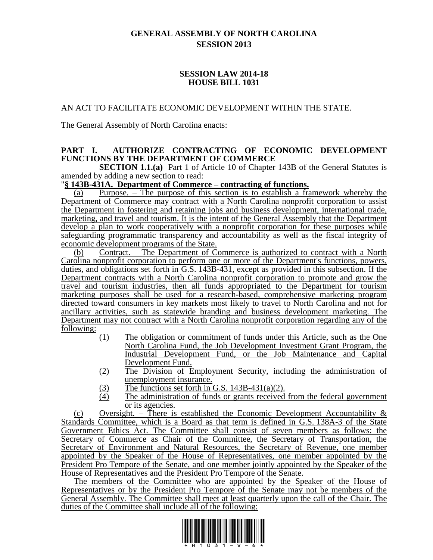# **GENERAL ASSEMBLY OF NORTH CAROLINA SESSION 2013**

## **SESSION LAW 2014-18 HOUSE BILL 1031**

## AN ACT TO FACILITATE ECONOMIC DEVELOPMENT WITHIN THE STATE.

The General Assembly of North Carolina enacts:

## **PART I. AUTHORIZE CONTRACTING OF ECONOMIC DEVELOPMENT FUNCTIONS BY THE DEPARTMENT OF COMMERCE**

**SECTION 1.1.(a)** Part 1 of Article 10 of Chapter 143B of the General Statutes is amended by adding a new section to read:

## "**§ 143B-431A. Department of Commerce – contracting of functions.**

(a) Purpose. – The purpose of this section is to establish a framework whereby the Department of Commerce may contract with a North Carolina nonprofit corporation to assist the Department in fostering and retaining jobs and business development, international trade, marketing, and travel and tourism. It is the intent of the General Assembly that the Department develop a plan to work cooperatively with a nonprofit corporation for these purposes while safeguarding programmatic transparency and accountability as well as the fiscal integrity of economic development programs of the State.

(b) Contract. – The Department of Commerce is authorized to contract with a North Carolina nonprofit corporation to perform one or more of the Department's functions, powers, duties, and obligations set forth in G.S. 143B-431, except as provided in this subsection. If the Department contracts with a North Carolina nonprofit corporation to promote and grow the travel and tourism industries, then all funds appropriated to the Department for tourism marketing purposes shall be used for a research-based, comprehensive marketing program directed toward consumers in key markets most likely to travel to North Carolina and not for ancillary activities, such as statewide branding and business development marketing. The Department may not contract with a North Carolina nonprofit corporation regarding any of the following:

- (1) The obligation or commitment of funds under this Article, such as the One North Carolina Fund, the Job Development Investment Grant Program, the Industrial Development Fund, or the Job Maintenance and Capital Development Fund.
- (2) The Division of Employment Security, including the administration of unemployment insurance.
- (3) The functions set forth in G.S. 143B-431(a)(2).<br>The administration of funds or grants received
- The administration of funds or grants received from the federal government or its agencies.

(c) Oversight. – There is established the Economic Development Accountability  $\&$ Standards Committee, which is a Board as that term is defined in G.S. 138A-3 of the State Government Ethics Act. The Committee shall consist of seven members as follows: the Secretary of Commerce as Chair of the Committee, the Secretary of Transportation, the Secretary of Environment and Natural Resources, the Secretary of Revenue, one member appointed by the Speaker of the House of Representatives, one member appointed by the President Pro Tempore of the Senate, and one member jointly appointed by the Speaker of the House of Representatives and the President Pro Tempore of the Senate.

The members of the Committee who are appointed by the Speaker of the House of Representatives or by the President Pro Tempore of the Senate may not be members of the General Assembly. The Committee shall meet at least quarterly upon the call of the Chair. The duties of the Committee shall include all of the following:

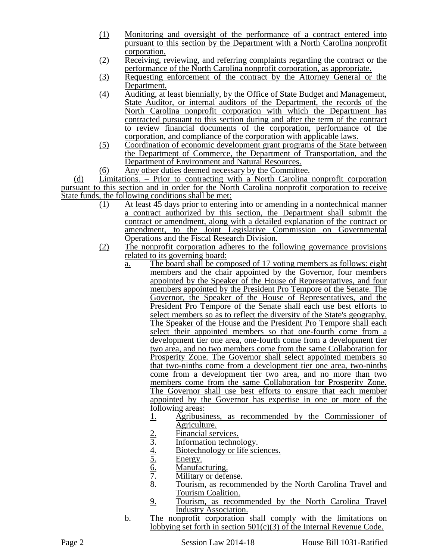- (1) Monitoring and oversight of the performance of a contract entered into pursuant to this section by the Department with a North Carolina nonprofit corporation.
- (2) Receiving, reviewing, and referring complaints regarding the contract or the performance of the North Carolina nonprofit corporation, as appropriate.
- (3) Requesting enforcement of the contract by the Attorney General or the Department.
- (4) Auditing, at least biennially, by the Office of State Budget and Management, State Auditor, or internal auditors of the Department, the records of the North Carolina nonprofit corporation with which the Department has contracted pursuant to this section during and after the term of the contract to review financial documents of the corporation, performance of the corporation, and compliance of the corporation with applicable laws.
- (5) Coordination of economic development grant programs of the State between the Department of Commerce, the Department of Transportation, and the Department of Environment and Natural Resources.
- (6) Any other duties deemed necessary by the Committee.

(d) Limitations. – Prior to contracting with a North Carolina nonprofit corporation pursuant to this section and in order for the North Carolina nonprofit corporation to receive State funds, the following conditions shall be met:

- (1) At least 45 days prior to entering into or amending in a nontechnical manner a contract authorized by this section, the Department shall submit the contract or amendment, along with a detailed explanation of the contract or amendment, to the Joint Legislative Commission on Governmental Operations and the Fiscal Research Division.
- (2) The nonprofit corporation adheres to the following governance provisions related to its governing board:
	- a. The board shall be composed of 17 voting members as follows: eight members and the chair appointed by the Governor, four members appointed by the Speaker of the House of Representatives, and four members appointed by the President Pro Tempore of the Senate. The Governor, the Speaker of the House of Representatives, and the President Pro Tempore of the Senate shall each use best efforts to select members so as to reflect the diversity of the State's geography. The Speaker of the House and the President Pro Tempore shall each select their appointed members so that one-fourth come from a development tier one area, one-fourth come from a development tier two area, and no two members come from the same Collaboration for Prosperity Zone. The Governor shall select appointed members so that two-ninths come from a development tier one area, two-ninths come from a development tier two area, and no more than two members come from the same Collaboration for Prosperity Zone. The Governor shall use best efforts to ensure that each member appointed by the Governor has expertise in one or more of the following areas:
		- 1. Agribusiness, as recommended by the Commissioner of Agriculture.
		-
		- Information technology.
		- <u>2. Financial services.<br>
		3. Information technology or l<br>
		5. Energy.<br>
		6. Manufacturing.<br>
		7. Military or defense<br>
		8. Tourism, as recom</u> Biotechnology or life sciences.
		- Energy.
		- Manufacturing.
		- Military or defense.
		- Tourism, as recommended by the North Carolina Travel and Tourism Coalition.
		- 9. Tourism, as recommended by the North Carolina Travel Industry Association.
	- b. The nonprofit corporation shall comply with the limitations on lobbying set forth in section 501(c)(3) of the Internal Revenue Code.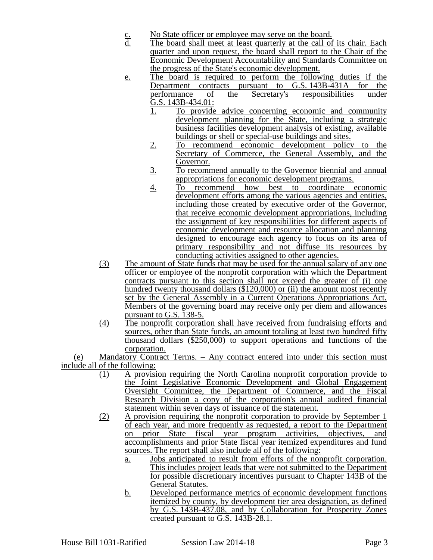- c. No State officer or employee may serve on the board.<br>d. The board shall meet at least quarterly at the call of
- The board shall meet at least quarterly at the call of its chair. Each quarter and upon request, the board shall report to the Chair of the Economic Development Accountability and Standards Committee on the progress of the State's economic development.
- e. The board is required to perform the following duties if the Department contracts pursuant to G.S. 143B-431A for the performance of the Secretary's responsibilities under performance of the Secretary's responsibilities under  $\overline{G}$ .S. 143B-434.01:
	- 1. To provide advice concerning economic and community development planning for the State, including a strategic business facilities development analysis of existing, available buildings or shell or special-use buildings and sites.
	- 2. To recommend economic development policy to the Secretary of Commerce, the General Assembly, and the Governor.
	- 3. To recommend annually to the Governor biennial and annual appropriations for economic development programs.
	- 4. To recommend how best to coordinate economic development efforts among the various agencies and entities, including those created by executive order of the Governor, that receive economic development appropriations, including the assignment of key responsibilities for different aspects of economic development and resource allocation and planning designed to encourage each agency to focus on its area of primary responsibility and not diffuse its resources by conducting activities assigned to other agencies.
- (3) The amount of State funds that may be used for the annual salary of any one officer or employee of the nonprofit corporation with which the Department contracts pursuant to this section shall not exceed the greater of (i) one hundred twenty thousand dollars (\$120,000) or (ii) the amount most recently set by the General Assembly in a Current Operations Appropriations Act. Members of the governing board may receive only per diem and allowances pursuant to G.S. 138-5.
- (4) The nonprofit corporation shall have received from fundraising efforts and sources, other than State funds, an amount totaling at least two hundred fifty thousand dollars (\$250,000) to support operations and functions of the corporation.

(e) Mandatory Contract Terms. – Any contract entered into under this section must include all of the following:

- (1) A provision requiring the North Carolina nonprofit corporation provide to the Joint Legislative Economic Development and Global Engagement Oversight Committee, the Department of Commerce, and the Fiscal Research Division a copy of the corporation's annual audited financial statement within seven days of issuance of the statement.
- (2) A provision requiring the nonprofit corporation to provide by September 1 of each year, and more frequently as requested, a report to the Department on prior State fiscal year program activities, objectives, and accomplishments and prior State fiscal year itemized expenditures and fund sources. The report shall also include all of the following:
	- a. Jobs anticipated to result from efforts of the nonprofit corporation. This includes project leads that were not submitted to the Department for possible discretionary incentives pursuant to Chapter 143B of the General Statutes.
	- b. Developed performance metrics of economic development functions itemized by county, by development tier area designation, as defined by G.S. 143B-437.08, and by Collaboration for Prosperity Zones created pursuant to G.S. 143B-28.1.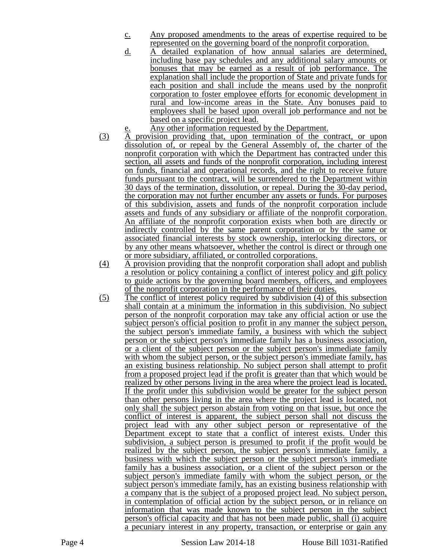- c. Any proposed amendments to the areas of expertise required to be represented on the governing board of the nonprofit corporation.
- d. A detailed explanation of how annual salaries are determined, including base pay schedules and any additional salary amounts or bonuses that may be earned as a result of job performance. The explanation shall include the proportion of State and private funds for each position and shall include the means used by the nonprofit corporation to foster employee efforts for economic development in rural and low-income areas in the State. Any bonuses paid to employees shall be based upon overall job performance and not be based on a specific project lead.
- Any other information requested by the Department.
- (3) A provision providing that, upon termination of the contract, or upon dissolution of, or repeal by the General Assembly of, the charter of the nonprofit corporation with which the Department has contracted under this section, all assets and funds of the nonprofit corporation, including interest on funds, financial and operational records, and the right to receive future funds pursuant to the contract, will be surrendered to the Department within 30 days of the termination, dissolution, or repeal. During the 30-day period, the corporation may not further encumber any assets or funds. For purposes of this subdivision, assets and funds of the nonprofit corporation include assets and funds of any subsidiary or affiliate of the nonprofit corporation. An affiliate of the nonprofit corporation exists when both are directly or indirectly controlled by the same parent corporation or by the same or associated financial interests by stock ownership, interlocking directors, or by any other means whatsoever, whether the control is direct or through one or more subsidiary, affiliated, or controlled corporations.
- (4) A provision providing that the nonprofit corporation shall adopt and publish a resolution or policy containing a conflict of interest policy and gift policy to guide actions by the governing board members, officers, and employees of the nonprofit corporation in the performance of their duties.
- (5) The conflict of interest policy required by subdivision (4) of this subsection shall contain at a minimum the information in this subdivision. No subject person of the nonprofit corporation may take any official action or use the subject person's official position to profit in any manner the subject person, the subject person's immediate family, a business with which the subject person or the subject person's immediate family has a business association, or a client of the subject person or the subject person's immediate family with whom the subject person, or the subject person's immediate family, has an existing business relationship. No subject person shall attempt to profit from a proposed project lead if the profit is greater than that which would be realized by other persons living in the area where the project lead is located. If the profit under this subdivision would be greater for the subject person than other persons living in the area where the project lead is located, not only shall the subject person abstain from voting on that issue, but once the conflict of interest is apparent, the subject person shall not discuss the project lead with any other subject person or representative of the Department except to state that a conflict of interest exists. Under this subdivision, a subject person is presumed to profit if the profit would be realized by the subject person, the subject person's immediate family, a business with which the subject person or the subject person's immediate family has a business association, or a client of the subject person or the subject person's immediate family with whom the subject person, or the subject person's immediate family, has an existing business relationship with a company that is the subject of a proposed project lead. No subject person, in contemplation of official action by the subject person, or in reliance on information that was made known to the subject person in the subject person's official capacity and that has not been made public, shall (i) acquire a pecuniary interest in any property, transaction, or enterprise or gain any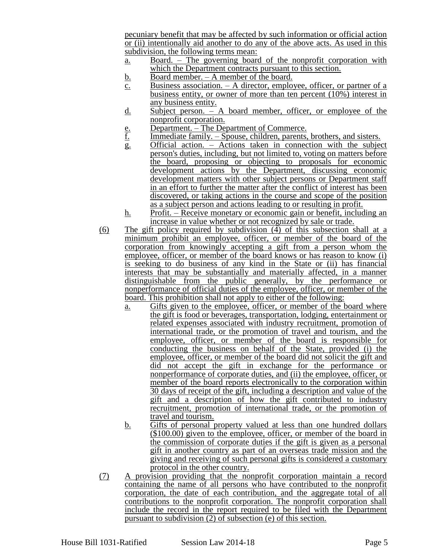pecuniary benefit that may be affected by such information or official action or (ii) intentionally aid another to do any of the above acts. As used in this subdivision, the following terms mean:

- a. Board. The governing board of the nonprofit corporation with which the Department contracts pursuant to this section.
- b. Board member. A member of the board.
- $\overline{c}$ . Business association. A director, employee, officer, or partner of a business entity, or owner of more than ten percent  $(10\%)$  interest in any business entity.
- d. Subject person. A board member, officer, or employee of the nonprofit corporation.
- e. Department. The Department of Commerce.<br><u>f.</u> Immediate family. Spouse, children, parents,
- Immediate family. Spouse, children, parents, brothers, and sisters.
- g. Official action. Actions taken in connection with the subject person's duties, including, but not limited to, voting on matters before the board, proposing or objecting to proposals for economic development actions by the Department, discussing economic development matters with other subject persons or Department staff in an effort to further the matter after the conflict of interest has been discovered, or taking actions in the course and scope of the position as a subject person and actions leading to or resulting in profit.
- h. Profit. Receive monetary or economic gain or benefit, including an increase in value whether or not recognized by sale or trade.
- (6) The gift policy required by subdivision (4) of this subsection shall at a minimum prohibit an employee, officer, or member of the board of the corporation from knowingly accepting a gift from a person whom the employee, officer, or member of the board knows or has reason to know (i) is seeking to do business of any kind in the State or (ii) has financial interests that may be substantially and materially affected, in a manner distinguishable from the public generally, by the performance or nonperformance of official duties of the employee, officer, or member of the board. This prohibition shall not apply to either of the following:
	- a. Gifts given to the employee, officer, or member of the board where the gift is food or beverages, transportation, lodging, entertainment or related expenses associated with industry recruitment, promotion of international trade, or the promotion of travel and tourism, and the employee, officer, or member of the board is responsible for conducting the business on behalf of the State, provided (i) the employee, officer, or member of the board did not solicit the gift and did not accept the gift in exchange for the performance or nonperformance of corporate duties, and (ii) the employee, officer, or member of the board reports electronically to the corporation within 30 days of receipt of the gift, including a description and value of the gift and a description of how the gift contributed to industry recruitment, promotion of international trade, or the promotion of travel and tourism.
	- b. Gifts of personal property valued at less than one hundred dollars (\$100.00) given to the employee, officer, or member of the board in the commission of corporate duties if the gift is given as a personal gift in another country as part of an overseas trade mission and the giving and receiving of such personal gifts is considered a customary protocol in the other country.
- (7) A provision providing that the nonprofit corporation maintain a record containing the name of all persons who have contributed to the nonprofit corporation, the date of each contribution, and the aggregate total of all contributions to the nonprofit corporation. The nonprofit corporation shall include the record in the report required to be filed with the Department pursuant to subdivision (2) of subsection (e) of this section.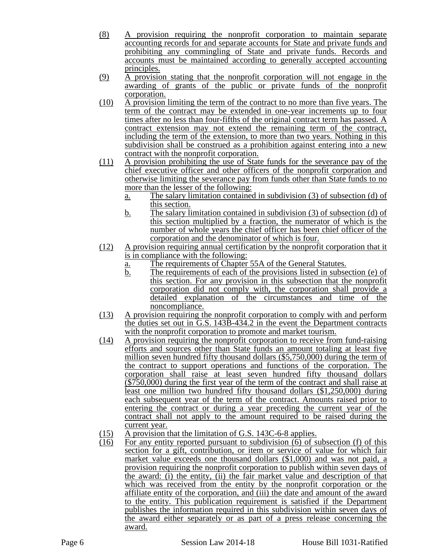- (8) A provision requiring the nonprofit corporation to maintain separate accounting records for and separate accounts for State and private funds and prohibiting any commingling of State and private funds. Records and accounts must be maintained according to generally accepted accounting principles.
- (9) A provision stating that the nonprofit corporation will not engage in the awarding of grants of the public or private funds of the nonprofit corporation.
- (10) A provision limiting the term of the contract to no more than five years. The term of the contract may be extended in one-year increments up to four times after no less than four-fifths of the original contract term has passed. A contract extension may not extend the remaining term of the contract, including the term of the extension, to more than two years. Nothing in this subdivision shall be construed as a prohibition against entering into a new contract with the nonprofit corporation.
- (11) A provision prohibiting the use of State funds for the severance pay of the chief executive officer and other officers of the nonprofit corporation and otherwise limiting the severance pay from funds other than State funds to no more than the lesser of the following:
	- a. The salary limitation contained in subdivision (3) of subsection (d) of this section.
	- b. The salary limitation contained in subdivision (3) of subsection (d) of this section multiplied by a fraction, the numerator of which is the number of whole years the chief officer has been chief officer of the corporation and the denominator of which is four.
- (12) A provision requiring annual certification by the nonprofit corporation that it is in compliance with the following:
	- a. The requirements of Chapter 55A of the General Statutes.
	- b. The requirements of each of the provisions listed in subsection (e) of this section. For any provision in this subsection that the nonprofit corporation did not comply with, the corporation shall provide a detailed explanation of the circumstances and time of the noncompliance.
- (13) A provision requiring the nonprofit corporation to comply with and perform the duties set out in G.S. 143B-434.2 in the event the Department contracts with the nonprofit corporation to promote and market tourism.
- (14) A provision requiring the nonprofit corporation to receive from fund-raising efforts and sources other than State funds an amount totaling at least five million seven hundred fifty thousand dollars (\$5,750,000) during the term of the contract to support operations and functions of the corporation. The corporation shall raise at least seven hundred fifty thousand dollars (\$750,000) during the first year of the term of the contract and shall raise at least one million two hundred fifty thousand dollars (\$1,250,000) during each subsequent year of the term of the contract. Amounts raised prior to entering the contract or during a year preceding the current year of the contract shall not apply to the amount required to be raised during the current year.
- (15) A provision that the limitation of G.S. 143C-6-8 applies.
- (16) For any entity reported pursuant to subdivision (6) of subsection (f) of this section for a gift, contribution, or item or service of value for which fair market value exceeds one thousand dollars (\$1,000) and was not paid, a provision requiring the nonprofit corporation to publish within seven days of the award: (i) the entity, (ii) the fair market value and description of that which was received from the entity by the nonprofit corporation or the affiliate entity of the corporation, and (iii) the date and amount of the award to the entity. This publication requirement is satisfied if the Department publishes the information required in this subdivision within seven days of the award either separately or as part of a press release concerning the award.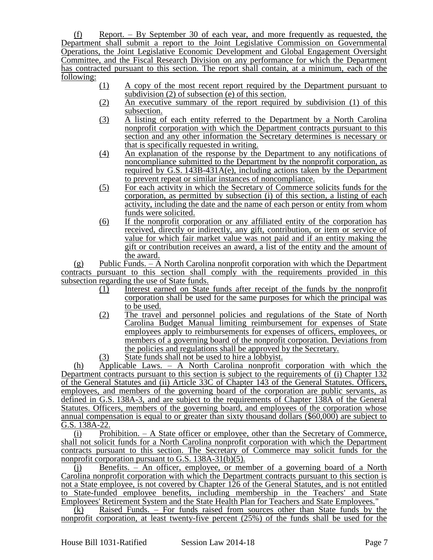(f) Report. – By September 30 of each year, and more frequently as requested, the Department shall submit a report to the Joint Legislative Commission on Governmental Operations, the Joint Legislative Economic Development and Global Engagement Oversight Committee, and the Fiscal Research Division on any performance for which the Department has contracted pursuant to this section. The report shall contain, at a minimum, each of the following:

- (1) A copy of the most recent report required by the Department pursuant to subdivision (2) of subsection (e) of this section.
- (2) An executive summary of the report required by subdivision (1) of this subsection.
- (3) A listing of each entity referred to the Department by a North Carolina nonprofit corporation with which the Department contracts pursuant to this section and any other information the Secretary determines is necessary or that is specifically requested in writing.
- (4) An explanation of the response by the Department to any notifications of noncompliance submitted to the Department by the nonprofit corporation, as required by G.S. 143B-431A(e), including actions taken by the Department to prevent repeat or similar instances of noncompliance.
- (5) For each activity in which the Secretary of Commerce solicits funds for the corporation, as permitted by subsection (i) of this section, a listing of each activity, including the date and the name of each person or entity from whom funds were solicited.
- (6) If the nonprofit corporation or any affiliated entity of the corporation has received, directly or indirectly, any gift, contribution, or item or service of value for which fair market value was not paid and if an entity making the gift or contribution receives an award, a list of the entity and the amount of the award.

(g) Public Funds. – A North Carolina nonprofit corporation with which the Department contracts pursuant to this section shall comply with the requirements provided in this subsection regarding the use of State funds.

- (1) Interest earned on State funds after receipt of the funds by the nonprofit corporation shall be used for the same purposes for which the principal was to be used.
- (2) The travel and personnel policies and regulations of the State of North Carolina Budget Manual limiting reimbursement for expenses of State employees apply to reimbursements for expenses of officers, employees, or members of a governing board of the nonprofit corporation. Deviations from the policies and regulations shall be approved by the Secretary.
- (3) State funds shall not be used to hire a lobbyist.

(h) Applicable Laws. – A North Carolina nonprofit corporation with which the Department contracts pursuant to this section is subject to the requirements of (i) Chapter 132 of the General Statutes and (ii) Article 33C of Chapter 143 of the General Statutes. Officers, employees, and members of the governing board of the corporation are public servants, as defined in G.S. 138A-3, and are subject to the requirements of Chapter 138A of the General Statutes. Officers, members of the governing board, and employees of the corporation whose annual compensation is equal to or greater than sixty thousand dollars (\$60,000) are subject to G.S. 138A-22.

(i) Prohibition. – A State officer or employee, other than the Secretary of Commerce, shall not solicit funds for a North Carolina nonprofit corporation with which the Department contracts pursuant to this section. The Secretary of Commerce may solicit funds for the nonprofit corporation pursuant to G.S. 138A-31(b)(5).

(j) Benefits. – An officer, employee, or member of a governing board of a North Carolina nonprofit corporation with which the Department contracts pursuant to this section is not a State employee, is not covered by Chapter 126 of the General Statutes, and is not entitled to State-funded employee benefits, including membership in the Teachers' and State Employees' Retirement System and the State Health Plan for Teachers and State Employees."

(k) Raised Funds. – For funds raised from sources other than State funds by the nonprofit corporation, at least twenty-five percent (25%) of the funds shall be used for the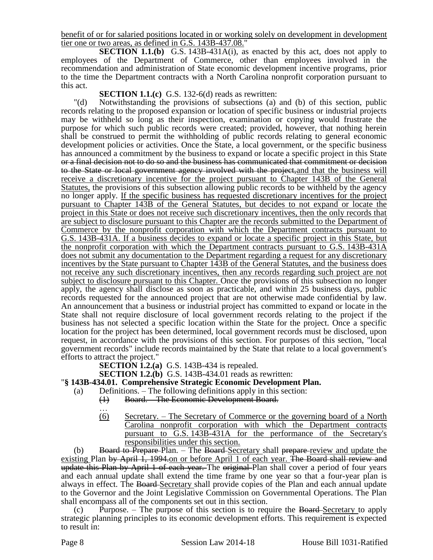benefit of or for salaried positions located in or working solely on development in development tier one or two areas, as defined in G.S. 143B-437.08."

**SECTION 1.1.(b)** G.S. 143B-431A(i), as enacted by this act, does not apply to employees of the Department of Commerce, other than employees involved in the recommendation and administration of State economic development incentive programs, prior to the time the Department contracts with a North Carolina nonprofit corporation pursuant to this act.

## **SECTION 1.1.(c)** G.S. 132-6(d) reads as rewritten:

"(d) Notwithstanding the provisions of subsections (a) and (b) of this section, public records relating to the proposed expansion or location of specific business or industrial projects may be withheld so long as their inspection, examination or copying would frustrate the purpose for which such public records were created; provided, however, that nothing herein shall be construed to permit the withholding of public records relating to general economic development policies or activities. Once the State, a local government, or the specific business has announced a commitment by the business to expand or locate a specific project in this State or a final decision not to do so and the business has communicated that commitment or decision to the State or local government agency involved with the project, and that the business will receive a discretionary incentive for the project pursuant to Chapter 143B of the General Statutes, the provisions of this subsection allowing public records to be withheld by the agency no longer apply. If the specific business has requested discretionary incentives for the project pursuant to Chapter 143B of the General Statutes, but decides to not expand or locate the project in this State or does not receive such discretionary incentives, then the only records that are subject to disclosure pursuant to this Chapter are the records submitted to the Department of Commerce by the nonprofit corporation with which the Department contracts pursuant to G.S. 143B-431A. If a business decides to expand or locate a specific project in this State, but the nonprofit corporation with which the Department contracts pursuant to G.S. 143B-431A does not submit any documentation to the Department regarding a request for any discretionary incentives by the State pursuant to Chapter 143B of the General Statutes, and the business does not receive any such discretionary incentives, then any records regarding such project are not subject to disclosure pursuant to this Chapter. Once the provisions of this subsection no longer apply, the agency shall disclose as soon as practicable, and within 25 business days, public records requested for the announced project that are not otherwise made confidential by law. An announcement that a business or industrial project has committed to expand or locate in the State shall not require disclosure of local government records relating to the project if the business has not selected a specific location within the State for the project. Once a specific location for the project has been determined, local government records must be disclosed, upon request, in accordance with the provisions of this section. For purposes of this section, "local government records" include records maintained by the State that relate to a local government's efforts to attract the project."

**SECTION 1.2.(a)** G.S. 143B-434 is repealed.

**SECTION 1.2.(b)** G.S. 143B-434.01 reads as rewritten:

## "**§ 143B-434.01. Comprehensive Strategic Economic Development Plan.**

- (a) Definitions. The following definitions apply in this section:
	- (1) Board. The Economic Development Board.
	- … (6) Secretary. – The Secretary of Commerce or the governing board of a North Carolina nonprofit corporation with which the Department contracts pursuant to G.S. 143B-431A for the performance of the Secretary's responsibilities under this section.

(b) Board to Prepare Plan. – The Board Secretary shall prepare review and update the existing Plan by April 1, 1994.on or before April 1 of each year. The Board shall review and update this Plan by April 1 of each year. The original Plan shall cover a period of four years and each annual update shall extend the time frame by one year so that a four-year plan is always in effect. The Board-Secretary shall provide copies of the Plan and each annual update to the Governor and the Joint Legislative Commission on Governmental Operations. The Plan shall encompass all of the components set out in this section.

 $(c)$  Purpose. – The purpose of this section is to require the Board-Secretary to apply strategic planning principles to its economic development efforts. This requirement is expected to result in: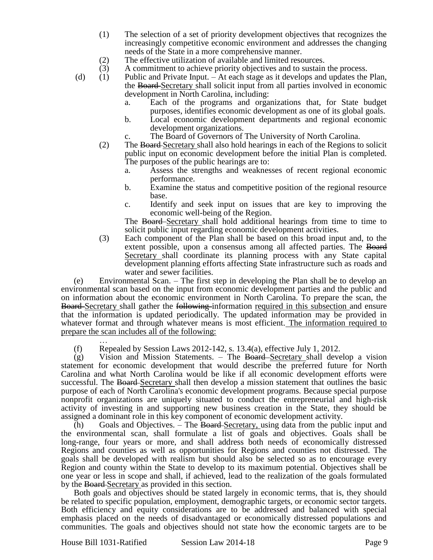- (1) The selection of a set of priority development objectives that recognizes the increasingly competitive economic environment and addresses the changing needs of the State in a more comprehensive manner.
- 

(2) The effective utilization of available and limited resources.<br>
(3) A commitment to achieve priority objectives and to sustain A commitment to achieve priority objectives and to sustain the process.

- (d) (1) Public and Private Input. At each stage as it develops and updates the Plan, the Board Secretary shall solicit input from all parties involved in economic development in North Carolina, including:
	- a. Each of the programs and organizations that, for State budget purposes, identifies economic development as one of its global goals.
	- b. Local economic development departments and regional economic development organizations.
	- c. The Board of Governors of The University of North Carolina.
	- (2) The Board Secretary shall also hold hearings in each of the Regions to solicit public input on economic development before the initial Plan is completed. The purposes of the public hearings are to:
		- a. Assess the strengths and weaknesses of recent regional economic performance.
		- b. Examine the status and competitive position of the regional resource base.
		- c. Identify and seek input on issues that are key to improving the economic well-being of the Region.

The Board Secretary shall hold additional hearings from time to time to solicit public input regarding economic development activities.

(3) Each component of the Plan shall be based on this broad input and, to the extent possible, upon a consensus among all affected parties. The Board Secretary shall coordinate its planning process with any State capital development planning efforts affecting State infrastructure such as roads and water and sewer facilities.

(e) Environmental Scan. – The first step in developing the Plan shall be to develop an environmental scan based on the input from economic development parties and the public and on information about the economic environment in North Carolina. To prepare the scan, the **Board**-Secretary shall gather the following-information required in this subsection and ensure that the information is updated periodically. The updated information may be provided in whatever format and through whatever means is most efficient. The information required to prepare the scan includes all of the following:

… (f) Repealed by Session Laws 2012-142, s. 13.4(a), effective July 1, 2012.

(g) Vision and Mission Statements. – The Board-Secretary shall develop a vision statement for economic development that would describe the preferred future for North Carolina and what North Carolina would be like if all economic development efforts were successful. The Board Secretary shall then develop a mission statement that outlines the basic purpose of each of North Carolina's economic development programs. Because special purpose nonprofit organizations are uniquely situated to conduct the entrepreneurial and high-risk activity of investing in and supporting new business creation in the State, they should be assigned a dominant role in this key component of economic development activity.

(h) Goals and Objectives. – The Board-Secretary, using data from the public input and the environmental scan, shall formulate a list of goals and objectives. Goals shall be long-range, four years or more, and shall address both needs of economically distressed Regions and counties as well as opportunities for Regions and counties not distressed. The goals shall be developed with realism but should also be selected so as to encourage every Region and county within the State to develop to its maximum potential. Objectives shall be one year or less in scope and shall, if achieved, lead to the realization of the goals formulated by the Board-Secretary as provided in this section.

Both goals and objectives should be stated largely in economic terms, that is, they should be related to specific population, employment, demographic targets, or economic sector targets. Both efficiency and equity considerations are to be addressed and balanced with special emphasis placed on the needs of disadvantaged or economically distressed populations and communities. The goals and objectives should not state how the economic targets are to be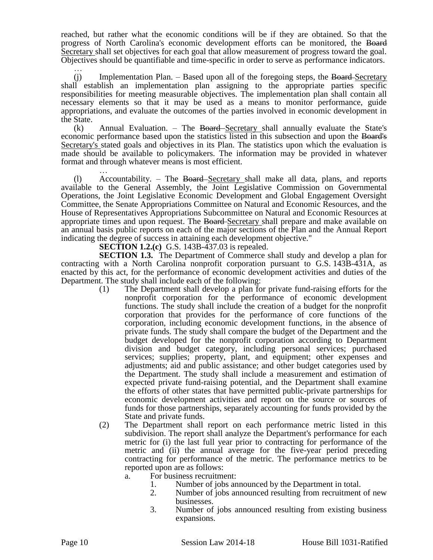reached, but rather what the economic conditions will be if they are obtained. So that the progress of North Carolina's economic development efforts can be monitored, the Board Secretary shall set objectives for each goal that allow measurement of progress toward the goal. Objectives should be quantifiable and time-specific in order to serve as performance indicators.

…  $(i)$  Implementation Plan. – Based upon all of the foregoing steps, the Board-Secretary shall establish an implementation plan assigning to the appropriate parties specific responsibilities for meeting measurable objectives. The implementation plan shall contain all necessary elements so that it may be used as a means to monitor performance, guide appropriations, and evaluate the outcomes of the parties involved in economic development in the State.

 $(k)$  Annual Evaluation. – The Board–Secretary shall annually evaluate the State's economic performance based upon the statistics listed in this subsection and upon the Board's Secretary's stated goals and objectives in its Plan. The statistics upon which the evaluation is made should be available to policymakers. The information may be provided in whatever format and through whatever means is most efficient.

… (l) Accountability. – The Board Secretary shall make all data, plans, and reports available to the General Assembly, the Joint Legislative Commission on Governmental Operations, the Joint Legislative Economic Development and Global Engagement Oversight Committee, the Senate Appropriations Committee on Natural and Economic Resources, and the House of Representatives Appropriations Subcommittee on Natural and Economic Resources at appropriate times and upon request. The Board Secretary shall prepare and make available on an annual basis public reports on each of the major sections of the Plan and the Annual Report indicating the degree of success in attaining each development objective."

**SECTION 1.2.(c)** G.S. 143B-437.03 is repealed.

**SECTION 1.3.** The Department of Commerce shall study and develop a plan for contracting with a North Carolina nonprofit corporation pursuant to G.S. 143B-431A, as enacted by this act, for the performance of economic development activities and duties of the Department. The study shall include each of the following:

- (1) The Department shall develop a plan for private fund-raising efforts for the nonprofit corporation for the performance of economic development functions. The study shall include the creation of a budget for the nonprofit corporation that provides for the performance of core functions of the corporation, including economic development functions, in the absence of private funds. The study shall compare the budget of the Department and the budget developed for the nonprofit corporation according to Department division and budget category, including personal services; purchased services; supplies; property, plant, and equipment; other expenses and adjustments; aid and public assistance; and other budget categories used by the Department. The study shall include a measurement and estimation of expected private fund-raising potential, and the Department shall examine the efforts of other states that have permitted public-private partnerships for economic development activities and report on the source or sources of funds for those partnerships, separately accounting for funds provided by the State and private funds.
- (2) The Department shall report on each performance metric listed in this subdivision. The report shall analyze the Department's performance for each metric for (i) the last full year prior to contracting for performance of the metric and (ii) the annual average for the five-year period preceding contracting for performance of the metric. The performance metrics to be reported upon are as follows:
	- a. For business recruitment:
		- 1. Number of jobs announced by the Department in total.
		- 2. Number of jobs announced resulting from recruitment of new businesses.
		- 3. Number of jobs announced resulting from existing business expansions.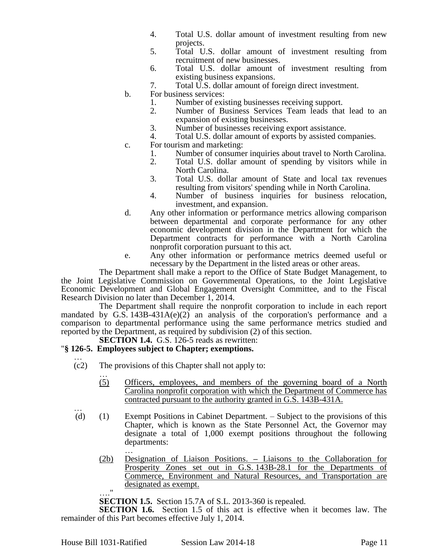- 4. Total U.S. dollar amount of investment resulting from new projects.
- 5. Total U.S. dollar amount of investment resulting from recruitment of new businesses.
- 6. Total U.S. dollar amount of investment resulting from existing business expansions.
- 7. Total U.S. dollar amount of foreign direct investment.
- b. For business services:
	- 1. Number of existing businesses receiving support.
	- 2. Number of Business Services Team leads that lead to an expansion of existing businesses.
	- 3. Number of businesses receiving export assistance.
	- 4. Total U.S. dollar amount of exports by assisted companies.
- c. For tourism and marketing:
	- 1. Number of consumer inquiries about travel to North Carolina.<br>2. Total U.S. dollar amount of spending by visitors while in
	- 2. Total U.S. dollar amount of spending by visitors while in North Carolina.
	- 3. Total U.S. dollar amount of State and local tax revenues resulting from visitors' spending while in North Carolina.
	- 4. Number of business inquiries for business relocation, investment, and expansion.
- d. Any other information or performance metrics allowing comparison between departmental and corporate performance for any other economic development division in the Department for which the Department contracts for performance with a North Carolina nonprofit corporation pursuant to this act.
- e. Any other information or performance metrics deemed useful or necessary by the Department in the listed areas or other areas.

The Department shall make a report to the Office of State Budget Management, to the Joint Legislative Commission on Governmental Operations, to the Joint Legislative Economic Development and Global Engagement Oversight Committee, and to the Fiscal Research Division no later than December 1, 2014.

The Department shall require the nonprofit corporation to include in each report mandated by G.S.  $143B-431A(e)(2)$  an analysis of the corporation's performance and a comparison to departmental performance using the same performance metrics studied and reported by the Department, as required by subdivision (2) of this section.

# **SECTION 1.4.** G.S. 126-5 reads as rewritten:

## "**§ 126-5. Employees subject to Chapter; exemptions.**

- … (c2) The provisions of this Chapter shall not apply to:
	- … (5) Officers, employees, and members of the governing board of a North Carolina nonprofit corporation with which the Department of Commerce has contracted pursuant to the authority granted in G.S. 143B-431A.
- … (d) (1) Exempt Positions in Cabinet Department. – Subject to the provisions of this Chapter, which is known as the State Personnel Act, the Governor may designate a total of 1,000 exempt positions throughout the following departments:
	- … (2b) Designation of Liaison Positions. **–** Liaisons to the Collaboration for Prosperity Zones set out in G.S. 143B-28.1 for the Departments of Commerce, Environment and Natural Resources, and Transportation are designated as exempt. …."

**SECTION 1.5.** Section 15.7A of S.L. 2013-360 is repealed.

**SECTION 1.6.** Section 1.5 of this act is effective when it becomes law. The remainder of this Part becomes effective July 1, 2014.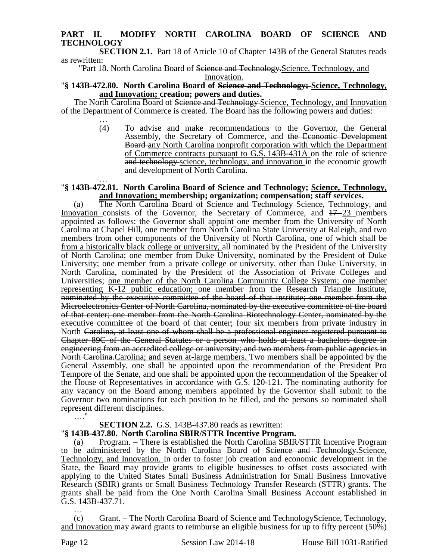## **PART II. MODIFY NORTH CAROLINA BOARD OF SCIENCE AND TECHNOLOGY**

**SECTION 2.1.** Part 18 of Article 10 of Chapter 143B of the General Statutes reads as rewritten:

"Part 18. North Carolina Board of Science and Technology. Science, Technology, and Innovation.

## "**§ 143B-472.80. North Carolina Board of Science and Technology; Science, Technology, and Innovation; creation; powers and duties.**

The North Carolina Board of Science and Technology Science, Technology, and Innovation of the Department of Commerce is created. The Board has the following powers and duties:

… (4) To advise and make recommendations to the Governor, the General Assembly, the Secretary of Commerce, and the Economic Development Board-any North Carolina nonprofit corporation with which the Department of Commerce contracts pursuant to G.S. 143B-431A on the role of science and technology science, technology, and innovation in the economic growth and development of North Carolina.

#### … "**§ 143B-472.81. North Carolina Board of Science and Technology; Science, Technology, and Innovation; membership; organization; compensation; staff services.**

(a) The North Carolina Board of <del>Science and Technology</del>-Science, Technology, and Innovation consists of the Governor, the Secretary of Commerce, and  $17-23$  members appointed as follows: the Governor shall appoint one member from the University of North Carolina at Chapel Hill, one member from North Carolina State University at Raleigh, and two members from other components of the University of North Carolina, one of which shall be from a historically black college or university, all nominated by the President of the University of North Carolina; one member from Duke University, nominated by the President of Duke University; one member from a private college or university, other than Duke University, in North Carolina, nominated by the President of the Association of Private Colleges and Universities; one member of the North Carolina Community College System; one member representing K-12 public education; one member from the Research Triangle Institute, nominated by the executive committee of the board of that institute; one member from the Microelectronics Center of North Carolina, nominated by the executive committee of the board of that center; one member from the North Carolina Biotechnology Center, nominated by the executive committee of the board of that center; four six members from private industry in North Carolina, at least one of whom shall be a professional engineer registered pursuant to Chapter 89C of the General Statutes or a person who holds at least a bachelors degree in engineering from an accredited college or university; and two members from public agencies in North Carolina. Carolina; and seven at-large members. Two members shall be appointed by the General Assembly, one shall be appointed upon the recommendation of the President Pro Tempore of the Senate, and one shall be appointed upon the recommendation of the Speaker of the House of Representatives in accordance with G.S. 120-121. The nominating authority for any vacancy on the Board among members appointed by the Governor shall submit to the Governor two nominations for each position to be filled, and the persons so nominated shall represent different disciplines.

## **SECTION 2.2.** G.S. 143B-437.80 reads as rewritten:

## "**§ 143B-437.80. North Carolina SBIR/STTR Incentive Program.**

Program. – There is established the North Carolina SBIR/STTR Incentive Program to be administered by the North Carolina Board of Science and Technology.Science, Technology, and Innovation. In order to foster job creation and economic development in the State, the Board may provide grants to eligible businesses to offset costs associated with applying to the United States Small Business Administration for Small Business Innovative Research (SBIR) grants or Small Business Technology Transfer Research (STTR) grants. The grants shall be paid from the One North Carolina Small Business Account established in G.S. 143B-437.71. …

(c) Grant. – The North Carolina Board of Seience and TechnologyScience, Technology, and Innovation may award grants to reimburse an eligible business for up to fifty percent (50%)

…."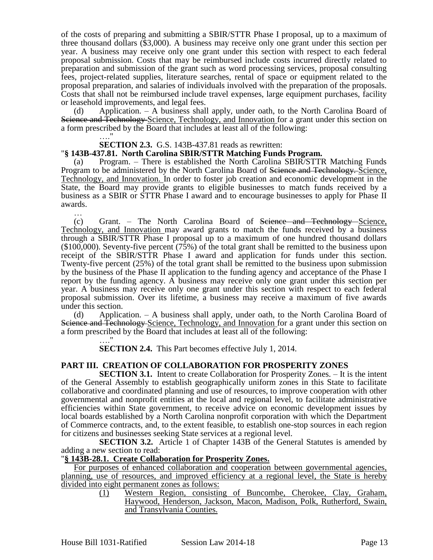of the costs of preparing and submitting a SBIR/STTR Phase I proposal, up to a maximum of three thousand dollars (\$3,000). A business may receive only one grant under this section per year. A business may receive only one grant under this section with respect to each federal proposal submission. Costs that may be reimbursed include costs incurred directly related to preparation and submission of the grant such as word processing services, proposal consulting fees, project-related supplies, literature searches, rental of space or equipment related to the proposal preparation, and salaries of individuals involved with the preparation of the proposals. Costs that shall not be reimbursed include travel expenses, large equipment purchases, facility or leasehold improvements, and legal fees.

(d) Application. – A business shall apply, under oath, to the North Carolina Board of Science and Technology Science, Technology, and Innovation for a grant under this section on a form prescribed by the Board that includes at least all of the following:

#### **SECTION 2.3.** G.S. 143B-437.81 reads as rewritten:

…."

#### "**§ 143B-437.81. North Carolina SBIR/STTR Matching Funds Program.**

(a) Program. – There is established the North Carolina SBIR/STTR Matching Funds Program to be administered by the North Carolina Board of <del>Science and Technology.</del> Science, Technology, and Innovation. In order to foster job creation and economic development in the State, the Board may provide grants to eligible businesses to match funds received by a business as a SBIR or STTR Phase I award and to encourage businesses to apply for Phase II awards.

… (c) Grant. – The North Carolina Board of Science and Technology Science, Technology, and Innovation may award grants to match the funds received by a business through a SBIR/STTR Phase I proposal up to a maximum of one hundred thousand dollars (\$100,000). Seventy-five percent (75%) of the total grant shall be remitted to the business upon receipt of the SBIR/STTR Phase I award and application for funds under this section. Twenty-five percent (25%) of the total grant shall be remitted to the business upon submission by the business of the Phase II application to the funding agency and acceptance of the Phase I report by the funding agency. A business may receive only one grant under this section per year. A business may receive only one grant under this section with respect to each federal proposal submission. Over its lifetime, a business may receive a maximum of five awards under this section.

(d) Application. – A business shall apply, under oath, to the North Carolina Board of Science and Technology Science, Technology, and Innovation for a grant under this section on a form prescribed by the Board that includes at least all of the following:

> …." **SECTION 2.4.** This Part becomes effective July 1, 2014.

#### **PART III. CREATION OF COLLABORATION FOR PROSPERITY ZONES**

**SECTION 3.1.** Intent to create Collaboration for Prosperity Zones. – It is the intent of the General Assembly to establish geographically uniform zones in this State to facilitate collaborative and coordinated planning and use of resources, to improve cooperation with other governmental and nonprofit entities at the local and regional level, to facilitate administrative efficiencies within State government, to receive advice on economic development issues by local boards established by a North Carolina nonprofit corporation with which the Department of Commerce contracts, and, to the extent feasible, to establish one-stop sources in each region for citizens and businesses seeking State services at a regional level.

**SECTION 3.2.** Article 1 of Chapter 143B of the General Statutes is amended by adding a new section to read:

#### "**§ 143B-28.1. Create Collaboration for Prosperity Zones.**

For purposes of enhanced collaboration and cooperation between governmental agencies, planning, use of resources, and improved efficiency at a regional level, the State is hereby divided into eight permanent zones as follows:

> (1) Western Region, consisting of Buncombe, Cherokee, Clay, Graham, Haywood, Henderson, Jackson, Macon, Madison, Polk, Rutherford, Swain, and Transylvania Counties.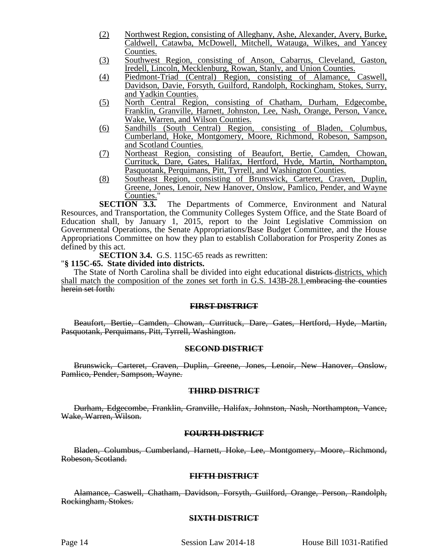- (2) Northwest Region, consisting of Alleghany, Ashe, Alexander, Avery, Burke, Caldwell, Catawba, McDowell, Mitchell, Watauga, Wilkes, and Yancey Counties.
- (3) Southwest Region, consisting of Anson, Cabarrus, Cleveland, Gaston, Iredell, Lincoln, Mecklenburg, Rowan, Stanly, and Union Counties.
- (4) Piedmont-Triad (Central) Region, consisting of Alamance, Caswell, Davidson, Davie, Forsyth, Guilford, Randolph, Rockingham, Stokes, Surry, and Yadkin Counties.
- (5) North Central Region, consisting of Chatham, Durham, Edgecombe, Franklin, Granville, Harnett, Johnston, Lee, Nash, Orange, Person, Vance, Wake, Warren, and Wilson Counties.
- (6) Sandhills (South Central) Region, consisting of Bladen, Columbus, Cumberland, Hoke, Montgomery, Moore, Richmond, Robeson, Sampson, and Scotland Counties.
- (7) Northeast Region, consisting of Beaufort, Bertie, Camden, Chowan, Currituck, Dare, Gates, Halifax, Hertford, Hyde, Martin, Northampton, Pasquotank, Perquimans, Pitt, Tyrrell, and Washington Counties.
- (8) Southeast Region, consisting of Brunswick, Carteret, Craven, Duplin, Greene, Jones, Lenoir, New Hanover, Onslow, Pamlico, Pender, and Wayne

**Counties.**"<br>**SECTION 3.3.** The Departments of Commerce, Environment and Natural Resources, and Transportation, the Community Colleges System Office, and the State Board of Education shall, by January 1, 2015, report to the Joint Legislative Commission on Governmental Operations, the Senate Appropriations/Base Budget Committee, and the House Appropriations Committee on how they plan to establish Collaboration for Prosperity Zones as defined by this act.

**SECTION 3.4.** G.S. 115C-65 reads as rewritten:

#### "**§ 115C-65. State divided into districts.**

The State of North Carolina shall be divided into eight educational districts districts, which shall match the composition of the zones set forth in G.S. 143B-28.1. embracing the counties herein set forth:

## **FIRST DISTRICT**

Beaufort, Bertie, Camden, Chowan, Currituck, Dare, Gates, Hertford, Hyde, Martin, Pasquotank, Perquimans, Pitt, Tyrrell, Washington.

#### **SECOND DISTRICT**

Brunswick, Carteret, Craven, Duplin, Greene, Jones, Lenoir, New Hanover, Onslow, Pamlico, Pender, Sampson, Wayne.

#### **THIRD DISTRICT**

Durham, Edgecombe, Franklin, Granville, Halifax, Johnston, Nash, Northampton, Vance, Wake, Warren, Wilson.

## **FOURTH DISTRICT**

Bladen, Columbus, Cumberland, Harnett, Hoke, Lee, Montgomery, Moore, Richmond, Robeson, Scotland.

## **FIFTH DISTRICT**

Alamance, Caswell, Chatham, Davidson, Forsyth, Guilford, Orange, Person, Randolph, Rockingham, Stokes.

#### **SIXTH DISTRICT**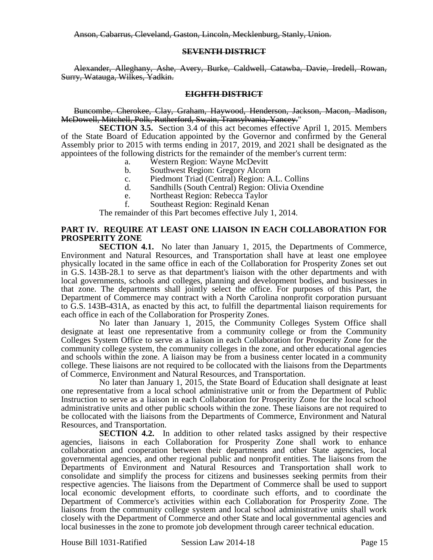Anson, Cabarrus, Cleveland, Gaston, Lincoln, Mecklenburg, Stanly, Union.

## **SEVENTH DISTRICT**

Alexander, Alleghany, Ashe, Avery, Burke, Caldwell, Catawba, Davie, Iredell, Rowan, Surry, Watauga, Wilkes, Yadkin.

## **EIGHTH DISTRICT**

Buncombe, Cherokee, Clay, Graham, Haywood, Henderson, Jackson, Macon, Madison, McDowell, Mitchell, Polk, Rutherford, Swain, Transylvania, Yancey."

**SECTION 3.5.** Section 3.4 of this act becomes effective April 1, 2015. Members of the State Board of Education appointed by the Governor and confirmed by the General Assembly prior to 2015 with terms ending in 2017, 2019, and 2021 shall be designated as the appointees of the following districts for the remainder of the member's current term:

- a. Western Region: Wayne McDevitt
- b. Southwest Region: Gregory Alcorn
- c. Piedmont Triad (Central) Region: A.L. Collins
- d. Sandhills (South Central) Region: Olivia Oxendine
- e. Northeast Region: Rebecca Taylor
- f. Southeast Region: Reginald Kenan

The remainder of this Part becomes effective July 1, 2014.

## **PART IV. REQUIRE AT LEAST ONE LIAISON IN EACH COLLABORATION FOR PROSPERITY ZONE**

**SECTION 4.1.** No later than January 1, 2015, the Departments of Commerce, Environment and Natural Resources, and Transportation shall have at least one employee physically located in the same office in each of the Collaboration for Prosperity Zones set out in G.S. 143B-28.1 to serve as that department's liaison with the other departments and with local governments, schools and colleges, planning and development bodies, and businesses in that zone. The departments shall jointly select the office. For purposes of this Part, the Department of Commerce may contract with a North Carolina nonprofit corporation pursuant to G.S. 143B-431A, as enacted by this act, to fulfill the departmental liaison requirements for each office in each of the Collaboration for Prosperity Zones.

No later than January 1, 2015, the Community Colleges System Office shall designate at least one representative from a community college or from the Community Colleges System Office to serve as a liaison in each Collaboration for Prosperity Zone for the community college system, the community colleges in the zone, and other educational agencies and schools within the zone. A liaison may be from a business center located in a community college. These liaisons are not required to be collocated with the liaisons from the Departments of Commerce, Environment and Natural Resources, and Transportation.

No later than January 1, 2015, the State Board of Education shall designate at least one representative from a local school administrative unit or from the Department of Public Instruction to serve as a liaison in each Collaboration for Prosperity Zone for the local school administrative units and other public schools within the zone. These liaisons are not required to be collocated with the liaisons from the Departments of Commerce, Environment and Natural Resources, and Transportation.

**SECTION 4.2.** In addition to other related tasks assigned by their respective agencies, liaisons in each Collaboration for Prosperity Zone shall work to enhance collaboration and cooperation between their departments and other State agencies, local governmental agencies, and other regional public and nonprofit entities. The liaisons from the Departments of Environment and Natural Resources and Transportation shall work to consolidate and simplify the process for citizens and businesses seeking permits from their respective agencies. The liaisons from the Department of Commerce shall be used to support local economic development efforts, to coordinate such efforts, and to coordinate the Department of Commerce's activities within each Collaboration for Prosperity Zone. The liaisons from the community college system and local school administrative units shall work closely with the Department of Commerce and other State and local governmental agencies and local businesses in the zone to promote job development through career technical education.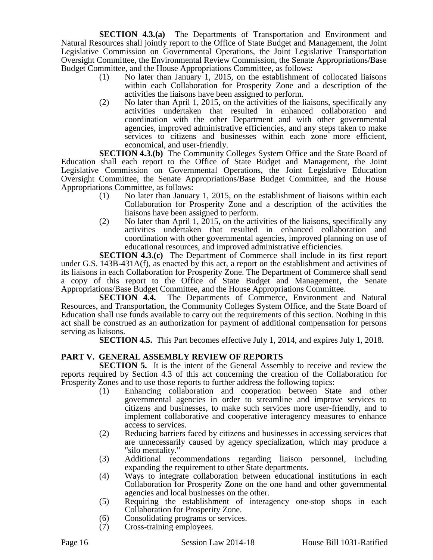**SECTION 4.3.(a)** The Departments of Transportation and Environment and Natural Resources shall jointly report to the Office of State Budget and Management, the Joint Legislative Commission on Governmental Operations, the Joint Legislative Transportation Oversight Committee, the Environmental Review Commission, the Senate Appropriations/Base Budget Committee, and the House Appropriations Committee, as follows:

- (1) No later than January 1, 2015, on the establishment of collocated liaisons within each Collaboration for Prosperity Zone and a description of the activities the liaisons have been assigned to perform.
- (2) No later than April 1, 2015, on the activities of the liaisons, specifically any activities undertaken that resulted in enhanced collaboration and coordination with the other Department and with other governmental agencies, improved administrative efficiencies, and any steps taken to make services to citizens and businesses within each zone more efficient, economical, and user-friendly.

**SECTION 4.3.(b)** The Community Colleges System Office and the State Board of Education shall each report to the Office of State Budget and Management, the Joint Legislative Commission on Governmental Operations, the Joint Legislative Education Oversight Committee, the Senate Appropriations/Base Budget Committee, and the House Appropriations Committee, as follows:

- (1) No later than January 1, 2015, on the establishment of liaisons within each Collaboration for Prosperity Zone and a description of the activities the liaisons have been assigned to perform.
- (2) No later than April 1,  $\overline{2015}$ , on the activities of the liaisons, specifically any activities undertaken that resulted in enhanced collaboration and coordination with other governmental agencies, improved planning on use of educational resources, and improved administrative efficiencies.

**SECTION 4.3.(c)** The Department of Commerce shall include in its first report under G.S. 143B-431A(f), as enacted by this act, a report on the establishment and activities of its liaisons in each Collaboration for Prosperity Zone. The Department of Commerce shall send a copy of this report to the Office of State Budget and Management, the Senate Appropriations/Base Budget Committee, and the House Appropriations Committee.

**SECTION 4.4.** The Departments of Commerce, Environment and Natural Resources, and Transportation, the Community Colleges System Office, and the State Board of Education shall use funds available to carry out the requirements of this section. Nothing in this act shall be construed as an authorization for payment of additional compensation for persons serving as liaisons.

**SECTION 4.5.** This Part becomes effective July 1, 2014, and expires July 1, 2018.

# **PART V. GENERAL ASSEMBLY REVIEW OF REPORTS**

**SECTION 5.** It is the intent of the General Assembly to receive and review the reports required by Section 4.3 of this act concerning the creation of the Collaboration for Prosperity Zones and to use those reports to further address the following topics:

- (1) Enhancing collaboration and cooperation between State and other governmental agencies in order to streamline and improve services to citizens and businesses, to make such services more user-friendly, and to implement collaborative and cooperative interagency measures to enhance access to services.
- (2) Reducing barriers faced by citizens and businesses in accessing services that are unnecessarily caused by agency specialization, which may produce a "silo mentality."
- (3) Additional recommendations regarding liaison personnel, including expanding the requirement to other State departments.
- (4) Ways to integrate collaboration between educational institutions in each Collaboration for Prosperity Zone on the one hand and other governmental agencies and local businesses on the other.
- (5) Requiring the establishment of interagency one-stop shops in each Collaboration for Prosperity Zone.
- (6) Consolidating programs or services.
- (7) Cross-training employees.